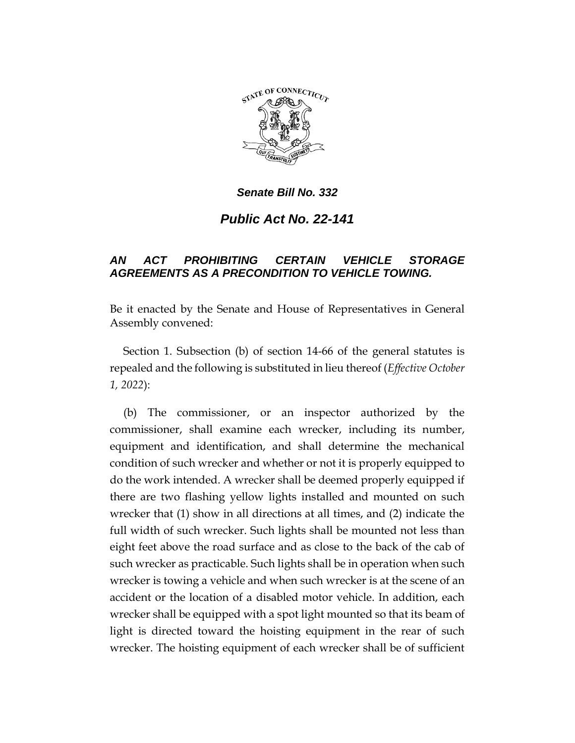

*Senate Bill No. 332*

*Public Act No. 22-141*

## *AN ACT PROHIBITING CERTAIN VEHICLE STORAGE AGREEMENTS AS A PRECONDITION TO VEHICLE TOWING.*

Be it enacted by the Senate and House of Representatives in General Assembly convened:

Section 1. Subsection (b) of section 14-66 of the general statutes is repealed and the following is substituted in lieu thereof (*Effective October 1, 2022*):

(b) The commissioner, or an inspector authorized by the commissioner, shall examine each wrecker, including its number, equipment and identification, and shall determine the mechanical condition of such wrecker and whether or not it is properly equipped to do the work intended. A wrecker shall be deemed properly equipped if there are two flashing yellow lights installed and mounted on such wrecker that (1) show in all directions at all times, and (2) indicate the full width of such wrecker. Such lights shall be mounted not less than eight feet above the road surface and as close to the back of the cab of such wrecker as practicable. Such lights shall be in operation when such wrecker is towing a vehicle and when such wrecker is at the scene of an accident or the location of a disabled motor vehicle. In addition, each wrecker shall be equipped with a spot light mounted so that its beam of light is directed toward the hoisting equipment in the rear of such wrecker. The hoisting equipment of each wrecker shall be of sufficient